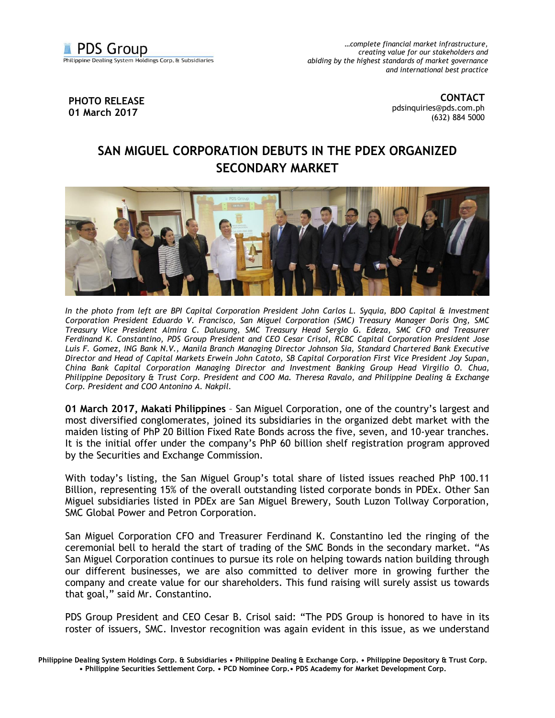

*…complete financial market infrastructure, creating value for our stakeholders and abiding by the highest standards of market governance and international best practice*

**PHOTO RELEASE 01 March 2017**

**CONTACT** [pdsinquiries@pds.com.ph](mailto:pdsinquiries@pds.com.ph) (632) 884 5000

## **SAN MIGUEL CORPORATION DEBUTS IN THE PDEX ORGANIZED SECONDARY MARKET**



*In the photo from left are BPI Capital Corporation President John Carlos L. Syquia, BDO Capital & Investment Corporation President Eduardo V. Francisco, San Miguel Corporation (SMC) Treasury Manager Doris Ong, SMC Treasury Vice President Almira C. Dalusung, SMC Treasury Head Sergio G. Edeza, SMC CFO and Treasurer Ferdinand K. Constantino, PDS Group President and CEO Cesar Crisol, RCBC Capital Corporation President Jose Luis F. Gomez, ING Bank N.V., Manila Branch Managing Director Johnson Sia, Standard Chartered Bank Executive Director and Head of Capital Markets Erwein John Catoto, SB Capital Corporation First Vice President Joy Supan, China Bank Capital Corporation Managing Director and Investment Banking Group Head Virgilio O. Chua, Philippine Depository & Trust Corp. President and COO Ma. Theresa Ravalo, and Philippine Dealing & Exchange Corp. President and COO Antonino A. Nakpil.* 

**01 March 2017, Makati Philippines** – San Miguel Corporation, one of the country's largest and most diversified conglomerates, joined its subsidiaries in the organized debt market with the maiden listing of PhP 20 Billion Fixed Rate Bonds across the five, seven, and 10-year tranches. It is the initial offer under the company's PhP 60 billion shelf registration program approved by the Securities and Exchange Commission.

With today's listing, the San Miguel Group's total share of listed issues reached PhP 100.11 Billion, representing 15% of the overall outstanding listed corporate bonds in PDEx. Other San Miguel subsidiaries listed in PDEx are San Miguel Brewery, South Luzon Tollway Corporation, SMC Global Power and Petron Corporation.

San Miguel Corporation CFO and Treasurer Ferdinand K. Constantino led the ringing of the ceremonial bell to herald the start of trading of the SMC Bonds in the secondary market. "As San Miguel Corporation continues to pursue its role on helping towards nation building through our different businesses, we are also committed to deliver more in growing further the company and create value for our shareholders. This fund raising will surely assist us towards that goal," said Mr. Constantino.

PDS Group President and CEO Cesar B. Crisol said: "The PDS Group is honored to have in its roster of issuers, SMC. Investor recognition was again evident in this issue, as we understand